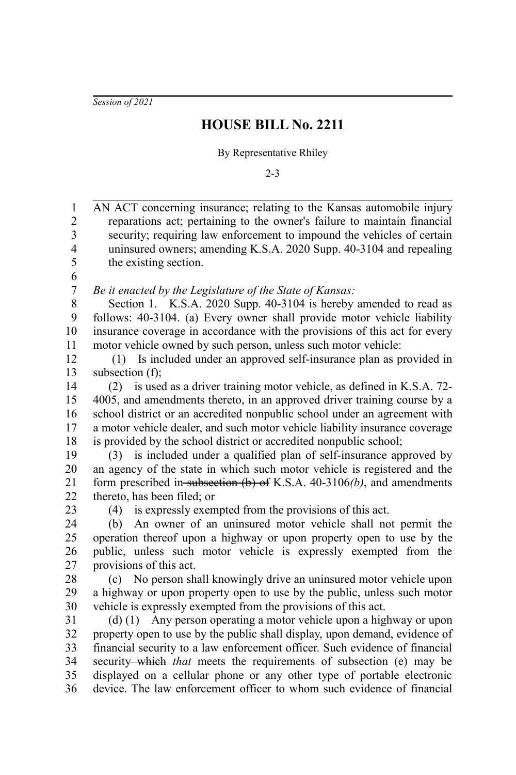*Session of 2021*

## **HOUSE BILL No. 2211**

By Representative Rhiley

2-3

AN ACT concerning insurance; relating to the Kansas automobile injury reparations act; pertaining to the owner's failure to maintain financial security; requiring law enforcement to impound the vehicles of certain uninsured owners; amending K.S.A. 2020 Supp. 40-3104 and repealing the existing section. *Be it enacted by the Legislature of the State of Kansas:* Section 1. K.S.A. 2020 Supp. 40-3104 is hereby amended to read as follows: 40-3104. (a) Every owner shall provide motor vehicle liability insurance coverage in accordance with the provisions of this act for every motor vehicle owned by such person, unless such motor vehicle: (1) Is included under an approved self-insurance plan as provided in subsection (f); (2) is used as a driver training motor vehicle, as defined in K.S.A. 72- 4005, and amendments thereto, in an approved driver training course by a school district or an accredited nonpublic school under an agreement with a motor vehicle dealer, and such motor vehicle liability insurance coverage is provided by the school district or accredited nonpublic school; (3) is included under a qualified plan of self-insurance approved by an agency of the state in which such motor vehicle is registered and the form prescribed in subsection (b) of K.S.A. 40-3106*(b)*, and amendments thereto, has been filed; or (4) is expressly exempted from the provisions of this act. (b) An owner of an uninsured motor vehicle shall not permit the operation thereof upon a highway or upon property open to use by the public, unless such motor vehicle is expressly exempted from the provisions of this act. (c) No person shall knowingly drive an uninsured motor vehicle upon a highway or upon property open to use by the public, unless such motor vehicle is expressly exempted from the provisions of this act. (d) (1) Any person operating a motor vehicle upon a highway or upon property open to use by the public shall display, upon demand, evidence of financial security to a law enforcement officer. Such evidence of financial security—which *that* meets the requirements of subsection (e) may be displayed on a cellular phone or any other type of portable electronic device. The law enforcement officer to whom such evidence of financial 1 2 3 4 5 6 7 8 9 10 11 12 13 14 15 16 17 18 19 20 21 22 23 24 25 26 27 28 29 30 31 32 33 34 35 36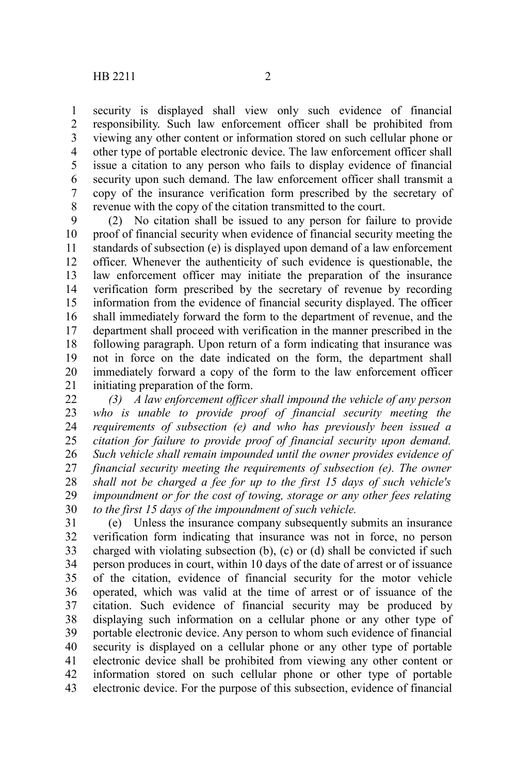security is displayed shall view only such evidence of financial responsibility. Such law enforcement officer shall be prohibited from viewing any other content or information stored on such cellular phone or other type of portable electronic device. The law enforcement officer shall issue a citation to any person who fails to display evidence of financial security upon such demand. The law enforcement officer shall transmit a copy of the insurance verification form prescribed by the secretary of

revenue with the copy of the citation transmitted to the court. (2) No citation shall be issued to any person for failure to provide proof of financial security when evidence of financial security meeting the standards of subsection (e) is displayed upon demand of a law enforcement officer. Whenever the authenticity of such evidence is questionable, the law enforcement officer may initiate the preparation of the insurance verification form prescribed by the secretary of revenue by recording information from the evidence of financial security displayed. The officer shall immediately forward the form to the department of revenue, and the department shall proceed with verification in the manner prescribed in the following paragraph. Upon return of a form indicating that insurance was not in force on the date indicated on the form, the department shall immediately forward a copy of the form to the law enforcement officer initiating preparation of the form. 9 10 11 12 13 14 15 16 17 18 19 20 21

*(3) A law enforcement officer shall impound the vehicle of any person who is unable to provide proof of financial security meeting the requirements of subsection (e) and who has previously been issued a citation for failure to provide proof of financial security upon demand. Such vehicle shall remain impounded until the owner provides evidence of financial security meeting the requirements of subsection (e). The owner shall not be charged a fee for up to the first 15 days of such vehicle's impoundment or for the cost of towing, storage or any other fees relating to the first 15 days of the impoundment of such vehicle.* 22 23 24 25 26 27 28 29 30

(e) Unless the insurance company subsequently submits an insurance verification form indicating that insurance was not in force, no person charged with violating subsection (b), (c) or (d) shall be convicted if such person produces in court, within 10 days of the date of arrest or of issuance of the citation, evidence of financial security for the motor vehicle operated, which was valid at the time of arrest or of issuance of the citation. Such evidence of financial security may be produced by displaying such information on a cellular phone or any other type of portable electronic device. Any person to whom such evidence of financial security is displayed on a cellular phone or any other type of portable electronic device shall be prohibited from viewing any other content or information stored on such cellular phone or other type of portable electronic device. For the purpose of this subsection, evidence of financial 31 32 33 34 35 36 37 38 39 40 41 42 43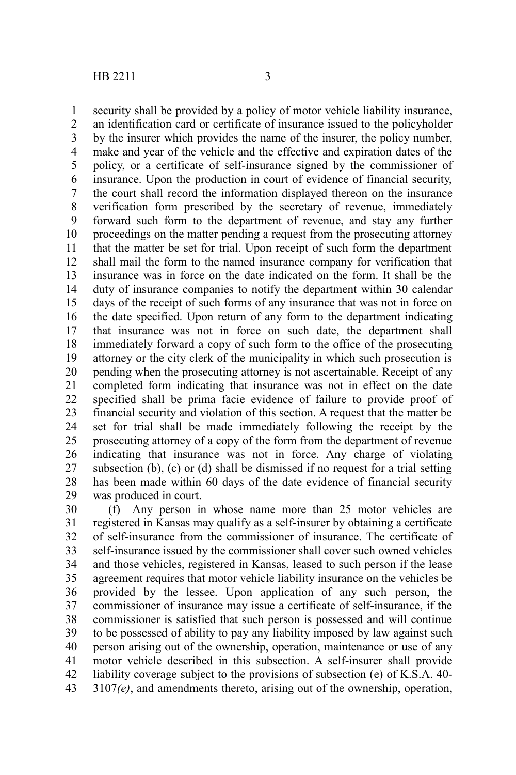security shall be provided by a policy of motor vehicle liability insurance, an identification card or certificate of insurance issued to the policyholder by the insurer which provides the name of the insurer, the policy number, make and year of the vehicle and the effective and expiration dates of the policy, or a certificate of self-insurance signed by the commissioner of insurance. Upon the production in court of evidence of financial security, the court shall record the information displayed thereon on the insurance verification form prescribed by the secretary of revenue, immediately forward such form to the department of revenue, and stay any further proceedings on the matter pending a request from the prosecuting attorney that the matter be set for trial. Upon receipt of such form the department shall mail the form to the named insurance company for verification that insurance was in force on the date indicated on the form. It shall be the duty of insurance companies to notify the department within 30 calendar days of the receipt of such forms of any insurance that was not in force on the date specified. Upon return of any form to the department indicating that insurance was not in force on such date, the department shall immediately forward a copy of such form to the office of the prosecuting attorney or the city clerk of the municipality in which such prosecution is pending when the prosecuting attorney is not ascertainable. Receipt of any completed form indicating that insurance was not in effect on the date specified shall be prima facie evidence of failure to provide proof of financial security and violation of this section. A request that the matter be set for trial shall be made immediately following the receipt by the prosecuting attorney of a copy of the form from the department of revenue indicating that insurance was not in force. Any charge of violating subsection (b), (c) or (d) shall be dismissed if no request for a trial setting has been made within 60 days of the date evidence of financial security was produced in court. 1 2 3 4 5 6 7 8 9 10 11 12 13 14 15 16 17 18 19 20 21 22 23 24 25 26 27 28 29

(f) Any person in whose name more than 25 motor vehicles are registered in Kansas may qualify as a self-insurer by obtaining a certificate of self-insurance from the commissioner of insurance. The certificate of self-insurance issued by the commissioner shall cover such owned vehicles and those vehicles, registered in Kansas, leased to such person if the lease agreement requires that motor vehicle liability insurance on the vehicles be provided by the lessee. Upon application of any such person, the commissioner of insurance may issue a certificate of self-insurance, if the commissioner is satisfied that such person is possessed and will continue to be possessed of ability to pay any liability imposed by law against such person arising out of the ownership, operation, maintenance or use of any motor vehicle described in this subsection. A self-insurer shall provide liability coverage subject to the provisions of subsection (e) of K.S.A. 40-3107*(e)*, and amendments thereto, arising out of the ownership, operation, 30 31 32 33 34 35 36 37 38 39 40 41 42 43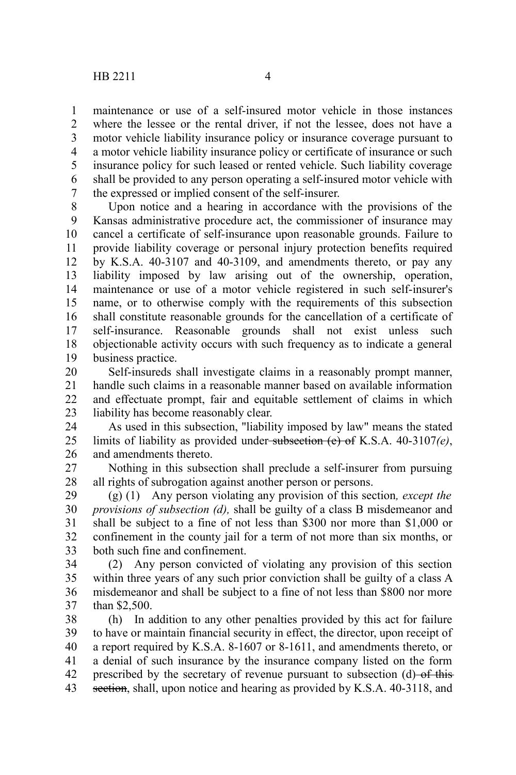maintenance or use of a self-insured motor vehicle in those instances where the lessee or the rental driver, if not the lessee, does not have a motor vehicle liability insurance policy or insurance coverage pursuant to a motor vehicle liability insurance policy or certificate of insurance or such insurance policy for such leased or rented vehicle. Such liability coverage shall be provided to any person operating a self-insured motor vehicle with the expressed or implied consent of the self-insurer. 1 2 3 4 5 6 7

Upon notice and a hearing in accordance with the provisions of the Kansas administrative procedure act, the commissioner of insurance may cancel a certificate of self-insurance upon reasonable grounds. Failure to provide liability coverage or personal injury protection benefits required by K.S.A. 40-3107 and 40-3109, and amendments thereto, or pay any liability imposed by law arising out of the ownership, operation, maintenance or use of a motor vehicle registered in such self-insurer's name, or to otherwise comply with the requirements of this subsection shall constitute reasonable grounds for the cancellation of a certificate of self-insurance. Reasonable grounds shall not exist unless such objectionable activity occurs with such frequency as to indicate a general business practice. 8 9 10 11 12 13 14 15 16 17 18 19

Self-insureds shall investigate claims in a reasonably prompt manner, handle such claims in a reasonable manner based on available information and effectuate prompt, fair and equitable settlement of claims in which liability has become reasonably clear. 20 21 22 23

As used in this subsection, "liability imposed by law" means the stated limits of liability as provided under subsection (e) of K.S.A. 40-3107*(e)*, and amendments thereto. 24 25 26

Nothing in this subsection shall preclude a self-insurer from pursuing all rights of subrogation against another person or persons. 27 28

(g) (1) Any person violating any provision of this section*, except the provisions of subsection (d),* shall be guilty of a class B misdemeanor and shall be subject to a fine of not less than \$300 nor more than \$1,000 or confinement in the county jail for a term of not more than six months, or both such fine and confinement. 29 30 31 32 33

(2) Any person convicted of violating any provision of this section within three years of any such prior conviction shall be guilty of a class A misdemeanor and shall be subject to a fine of not less than \$800 nor more than \$2,500. 34 35 36 37

(h) In addition to any other penalties provided by this act for failure to have or maintain financial security in effect, the director, upon receipt of a report required by K.S.A. 8-1607 or 8-1611, and amendments thereto, or a denial of such insurance by the insurance company listed on the form prescribed by the secretary of revenue pursuant to subsection (d) of this section, shall, upon notice and hearing as provided by K.S.A. 40-3118, and 38 39 40 41 42 43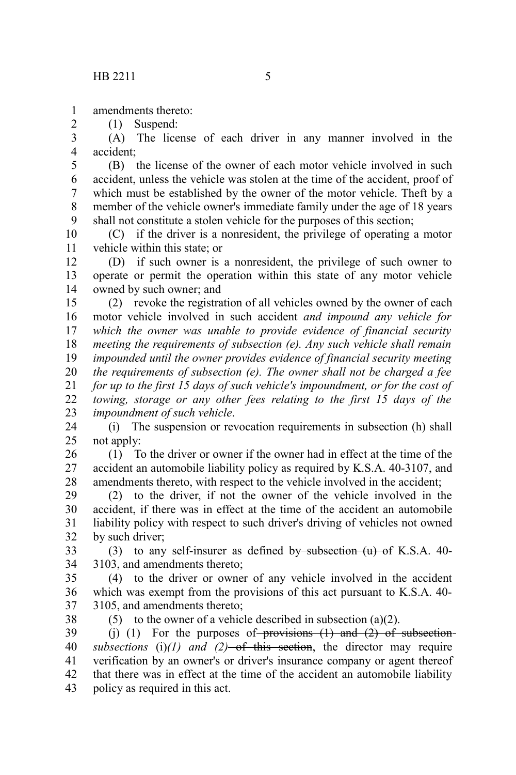amendments thereto: 1

(1) Suspend:

2

(A) The license of each driver in any manner involved in the accident; 3 4

(B) the license of the owner of each motor vehicle involved in such accident, unless the vehicle was stolen at the time of the accident, proof of which must be established by the owner of the motor vehicle. Theft by a member of the vehicle owner's immediate family under the age of 18 years shall not constitute a stolen vehicle for the purposes of this section; 5 6 7 8 9

(C) if the driver is a nonresident, the privilege of operating a motor vehicle within this state; or 10 11

(D) if such owner is a nonresident, the privilege of such owner to operate or permit the operation within this state of any motor vehicle owned by such owner; and 12 13 14

(2) revoke the registration of all vehicles owned by the owner of each motor vehicle involved in such accident *and impound any vehicle for which the owner was unable to provide evidence of financial security meeting the requirements of subsection (e). Any such vehicle shall remain impounded until the owner provides evidence of financial security meeting the requirements of subsection (e). The owner shall not be charged a fee for up to the first 15 days of such vehicle's impoundment, or for the cost of towing, storage or any other fees relating to the first 15 days of the impoundment of such vehicle*. 15 16 17 18 19 20 21 22 23

(i) The suspension or revocation requirements in subsection (h) shall not apply: 24 25

(1) To the driver or owner if the owner had in effect at the time of the accident an automobile liability policy as required by K.S.A. 40-3107, and amendments thereto, with respect to the vehicle involved in the accident; 26 27 28

(2) to the driver, if not the owner of the vehicle involved in the accident, if there was in effect at the time of the accident an automobile liability policy with respect to such driver's driving of vehicles not owned by such driver; 29 30 31 32

(3) to any self-insurer as defined by subsection  $(u)$  of K.S.A. 40-3103, and amendments thereto; 33 34

(4) to the driver or owner of any vehicle involved in the accident which was exempt from the provisions of this act pursuant to K.S.A. 40- 3105, and amendments thereto; 35 36 37

38

(5) to the owner of a vehicle described in subsection  $(a)(2)$ .

(j) (1) For the purposes of provisions  $(1)$  and  $(2)$  of subsection*subsections* (i) $(1)$  *and*  $(2)$ —of this section, the director may require verification by an owner's or driver's insurance company or agent thereof that there was in effect at the time of the accident an automobile liability policy as required in this act. 39 40 41 42 43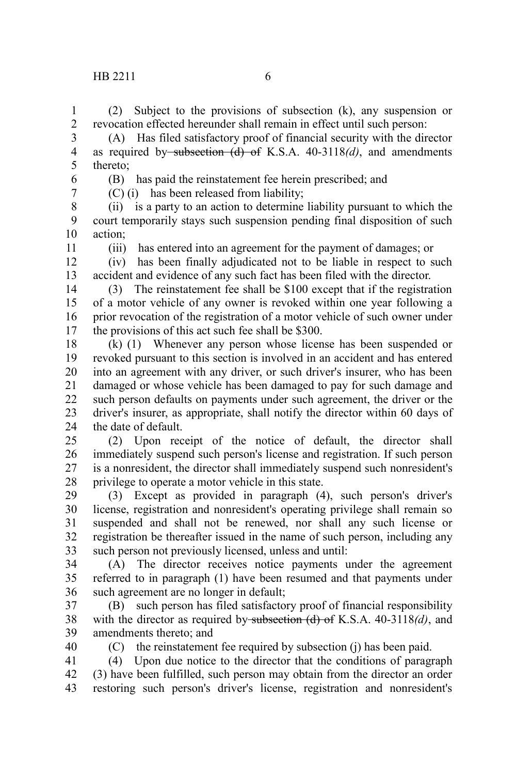(2) Subject to the provisions of subsection (k), any suspension or revocation effected hereunder shall remain in effect until such person: 1 2

(A) Has filed satisfactory proof of financial security with the director as required by subsection (d) of K.S.A. 40-3118*(d)*, and amendments thereto; 3 4 5

6 7 (B) has paid the reinstatement fee herein prescribed; and (C) (i) has been released from liability;

(ii) is a party to an action to determine liability pursuant to which the court temporarily stays such suspension pending final disposition of such action; 8 9 10

11

(iii) has entered into an agreement for the payment of damages; or

(iv) has been finally adjudicated not to be liable in respect to such accident and evidence of any such fact has been filed with the director. 12 13

(3) The reinstatement fee shall be \$100 except that if the registration of a motor vehicle of any owner is revoked within one year following a prior revocation of the registration of a motor vehicle of such owner under the provisions of this act such fee shall be \$300. 14 15 16 17

(k) (1) Whenever any person whose license has been suspended or revoked pursuant to this section is involved in an accident and has entered into an agreement with any driver, or such driver's insurer, who has been damaged or whose vehicle has been damaged to pay for such damage and such person defaults on payments under such agreement, the driver or the driver's insurer, as appropriate, shall notify the director within 60 days of the date of default. 18 19 20 21 22 23 24

(2) Upon receipt of the notice of default, the director shall immediately suspend such person's license and registration. If such person is a nonresident, the director shall immediately suspend such nonresident's privilege to operate a motor vehicle in this state.  $25$ 26 27 28

(3) Except as provided in paragraph (4), such person's driver's license, registration and nonresident's operating privilege shall remain so suspended and shall not be renewed, nor shall any such license or registration be thereafter issued in the name of such person, including any such person not previously licensed, unless and until: 29 30 31 32 33

(A) The director receives notice payments under the agreement referred to in paragraph (1) have been resumed and that payments under such agreement are no longer in default; 34 35 36

(B) such person has filed satisfactory proof of financial responsibility with the director as required by subsection (d) of K.S.A. 40-3118*(d)*, and amendments thereto; and 37 38 39

40

(C) the reinstatement fee required by subsection (j) has been paid.

(4) Upon due notice to the director that the conditions of paragraph (3) have been fulfilled, such person may obtain from the director an order restoring such person's driver's license, registration and nonresident's 41 42 43